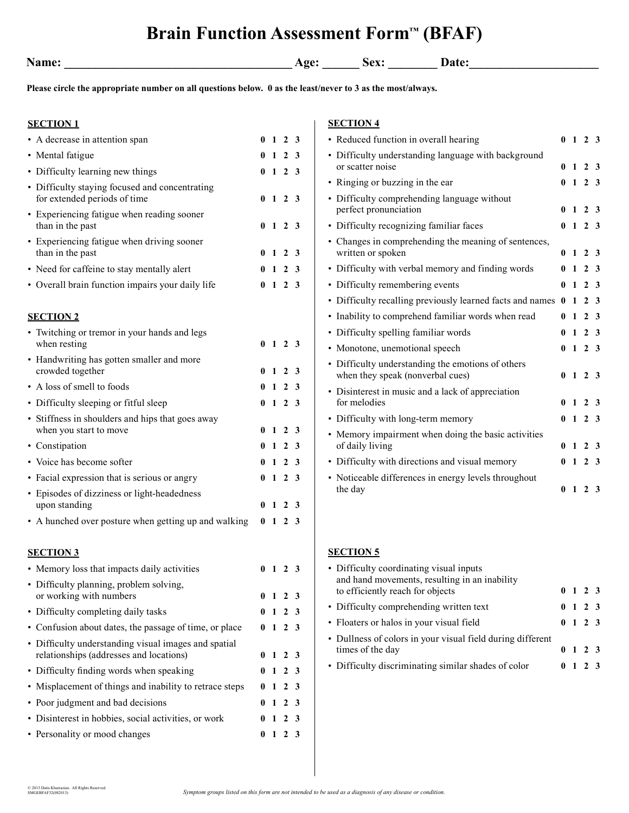## **Brain Function Assessment Form™ (BFAF)**

**Name: \_\_\_\_\_\_\_\_\_\_\_\_\_\_\_\_\_\_\_\_\_\_\_\_\_\_\_\_\_\_\_\_\_\_\_\_\_ Age: \_\_\_\_\_\_ Sex: \_\_\_\_\_\_\_\_ Date:\_\_\_\_\_\_\_\_\_\_\_\_\_\_\_\_\_\_\_\_\_** 

**Please circle the appropriate number on all questions below. 0 as the least/never to 3 as the most/always.**

| <b>SECTION 1</b>                                                                                |                                    |  | <b>SECTION 4</b>                                                                      |                |                |                   |  |
|-------------------------------------------------------------------------------------------------|------------------------------------|--|---------------------------------------------------------------------------------------|----------------|----------------|-------------------|--|
| • A decrease in attention span                                                                  | $0 \t1 \t2 \t3$                    |  | • Reduced function in overall hearing                                                 |                |                | $0 \t1 \t2 \t3$   |  |
| • Mental fatigue                                                                                | $0 \t1 \t2 \t3$                    |  | • Difficulty understanding language with background                                   |                |                |                   |  |
| • Difficulty learning new things                                                                | $0 \t1 \t2 \t3$                    |  | or scatter noise                                                                      |                | 0 <sub>1</sub> | 2 <sub>3</sub>    |  |
| • Difficulty staying focused and concentrating                                                  |                                    |  | • Ringing or buzzing in the ear                                                       |                | 0 <sub>1</sub> | 2 <sub>3</sub>    |  |
| for extended periods of time<br>• Experiencing fatigue when reading sooner                      | $0 \t1 \t2 \t3$                    |  | • Difficulty comprehending language without<br>perfect pronunciation                  | $\mathbf{0}$   | $\mathbf{1}$   | 2 <sub>3</sub>    |  |
| than in the past                                                                                | $0 \t1 \t2 \t3$                    |  | • Difficulty recognizing familiar faces                                               |                |                | $0 \t1 \t2 \t3$   |  |
| • Experiencing fatigue when driving sooner<br>than in the past                                  | $0 \t1 \t2 \t3$                    |  | • Changes in comprehending the meaning of sentences,<br>written or spoken             | $\mathbf{0}$   | $\mathbf{1}$   | 2 <sub>3</sub>    |  |
| • Need for caffeine to stay mentally alert                                                      | $0 \t1 \t2 \t3$                    |  | • Difficulty with verbal memory and finding words                                     | $\mathbf{0}$   | $\mathbf{1}$   | 2 <sub>3</sub>    |  |
| • Overall brain function impairs your daily life                                                | $0 \t1 \t2 \t3$                    |  | • Difficulty remembering events                                                       | $\mathbf{0}$   |                | $1\quad 2\quad 3$ |  |
|                                                                                                 |                                    |  | • Difficulty recalling previously learned facts and names 0 1 2 3                     |                |                |                   |  |
| <b>SECTION 2</b>                                                                                |                                    |  | • Inability to comprehend familiar words when read                                    |                |                | $0 \t1 \t2 \t3$   |  |
| • Twitching or tremor in your hands and legs                                                    |                                    |  | • Difficulty spelling familiar words                                                  |                | 0 <sub>1</sub> | 2 <sub>3</sub>    |  |
| when resting                                                                                    | $0 \t1 \t2 \t3$                    |  | • Monotone, unemotional speech                                                        |                |                | $0 \t1 \t2 \t3$   |  |
| • Handwriting has gotten smaller and more<br>crowded together                                   | $0 \t1 \t2 \t3$                    |  | • Difficulty understanding the emotions of others<br>when they speak (nonverbal cues) |                |                | $0 \t1 \t2 \t3$   |  |
| • A loss of smell to foods                                                                      | $0 \t1 \t2 \t3$                    |  | • Disinterest in music and a lack of appreciation                                     |                |                |                   |  |
| • Difficulty sleeping or fitful sleep                                                           | $0 \t1 \t2 \t3$                    |  | for melodies                                                                          |                |                | $0 \t1 \t2 \t3$   |  |
| • Stiffness in shoulders and hips that goes away                                                |                                    |  | • Difficulty with long-term memory                                                    |                | 0 <sub>1</sub> | 2 <sub>3</sub>    |  |
| when you start to move                                                                          | $0 \t1 \t2 \t3$                    |  | • Memory impairment when doing the basic activities                                   |                |                |                   |  |
| • Constipation                                                                                  | $0 \t1 \t2 \t3$                    |  | of daily living                                                                       |                |                | $0 \t1 \t2 \t3$   |  |
| • Voice has become softer                                                                       | $0 \t1 \t2 \t3$                    |  | • Difficulty with directions and visual memory                                        |                | 0 <sub>1</sub> | 2 <sub>3</sub>    |  |
| • Facial expression that is serious or angry                                                    | $0 \t1 \t2 \t3$                    |  | • Noticeable differences in energy levels throughout<br>the day                       |                |                | $0 \t1 \t2 \t3$   |  |
| • Episodes of dizziness or light-headedness<br>upon standing                                    | $0 \t1 \t2 \t3$                    |  |                                                                                       |                |                |                   |  |
| • A hunched over posture when getting up and walking                                            | $0 \t1 \t2 \t3$                    |  |                                                                                       |                |                |                   |  |
| <b>SECTION 3</b>                                                                                |                                    |  | <b>SECTION 5</b>                                                                      |                |                |                   |  |
| • Memory loss that impacts daily activities                                                     | $0 \t1 \t2 \t3$                    |  | • Difficulty coordinating visual inputs                                               |                |                |                   |  |
| • Difficulty planning, problem solving,<br>or working with numbers                              | $0 \t1 \t2 \t3$                    |  | and hand movements, resulting in an inability<br>to efficiently reach for objects     | 0 <sub>1</sub> |                | 2 <sub>3</sub>    |  |
| • Difficulty completing daily tasks                                                             | $0 \t1 \t2 \t3$                    |  | • Difficulty comprehending written text                                               |                |                | $0 \t1 \t2 \t3$   |  |
| • Confusion about dates, the passage of time, or place                                          | $0 \t1 \t2 \t3$                    |  | • Floaters or halos in your visual field                                              |                |                | $0 \t1 \t2 \t3$   |  |
| • Difficulty understanding visual images and spatial<br>relationships (addresses and locations) |                                    |  | • Dullness of colors in your visual field during different<br>times of the day        |                |                | $0 \t1 \t2 \t3$   |  |
| • Difficulty finding words when speaking                                                        | $0 \t1 \t2 \t3$                    |  | • Difficulty discriminating similar shades of color                                   |                | 0 <sub>1</sub> | 2 <sub>3</sub>    |  |
|                                                                                                 | $0 \t1 \t2 \t3$<br>$0 \t1 \t2 \t3$ |  |                                                                                       |                |                |                   |  |
| • Misplacement of things and inability to retrace steps                                         |                                    |  |                                                                                       |                |                |                   |  |
| • Poor judgment and bad decisions                                                               | $0 \t1 \t2 \t3$                    |  |                                                                                       |                |                |                   |  |
| • Disinterest in hobbies, social activities, or work                                            | $0 \t1 \t2 \t3$                    |  |                                                                                       |                |                |                   |  |
| • Personality or mood changes                                                                   | $0 \t1 \t2 \t3$                    |  |                                                                                       |                |                |                   |  |